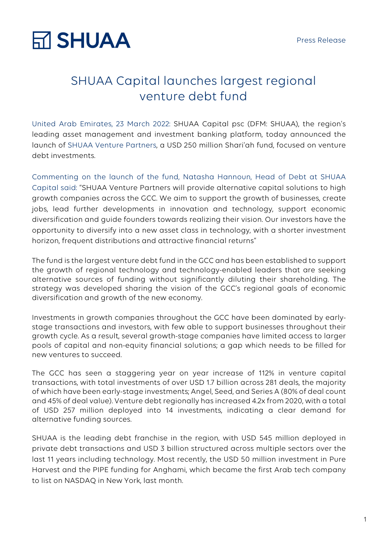

### SHUAA Capital launches largest regional venture debt fund

United Arab Emirates, 23 March 2022: SHUAA Capital psc (DFM: SHUAA), the region's leading asset management and investment banking platform, today announced the launch of SHUAA Venture Partners, a USD 250 million Shari'ah fund, focused on venture debt investments.

Commenting on the launch of the fund, Natasha Hannoun, Head of Debt at SHUAA Capital said: "SHUAA Venture Partners will provide alternative capital solutions to high growth companies across the GCC. We aim to support the growth of businesses, create jobs, lead further developments in innovation and technology, support economic diversification and guide founders towards realizing their vision. Our investors have the opportunity to diversify into a new asset class in technology, with a shorter investment horizon, frequent distributions and attractive financial returns"

The fund is the largest venture debt fund in the GCC and has been established to support the growth of regional technology and technology-enabled leaders that are seeking alternative sources of funding without significantly diluting their shareholding. The strategy was developed sharing the vision of the GCC's regional goals of economic diversification and growth of the new economy.

Investments in growth companies throughout the GCC have been dominated by earlystage transactions and investors, with few able to support businesses throughout their growth cycle. As a result, several growth-stage companies have limited access to larger pools of capital and non-equity financial solutions; a gap which needs to be filled for new ventures to succeed.

The GCC has seen a staggering year on year increase of 112% in venture capital transactions, with total investments of over USD 1.7 billion across 281 deals, the majority of which have been early-stage investments; Angel, Seed, and Series A (80% of deal count and 45% of deal value). Venture debt regionally has increased 4.2x from 2020, with a total of USD 257 million deployed into 14 investments, indicating a clear demand for alternative funding sources.

SHUAA is the leading debt franchise in the region, with USD 545 million deployed in private debt transactions and USD 3 billion structured across multiple sectors over the last 11 years including technology. Most recently, the USD 50 million investment in Pure Harvest and the PIPE funding for Anghami, which became the first Arab tech company to list on NASDAQ in New York, last month.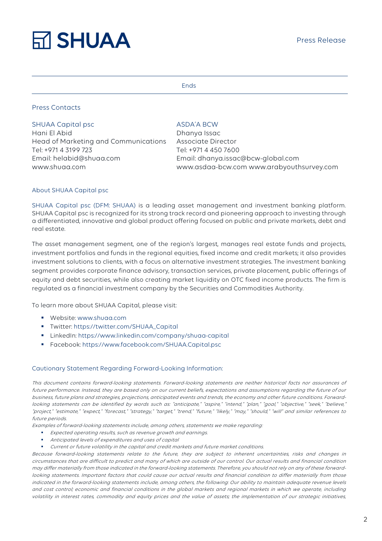## **RT SHUAA**

#### Ends

#### Press Contacts

#### SHUAA Capital psc

Hani El Abid Head of Marketing and Communications Tel: +971 4 3199 723 Email: helabid@shuaa.com

### ASDA'A BCW

Dhanya Issac Associate Director Tel: +971 4 450 7600 Email: dhanya.issac@bcw-global.com www.shuaa.com www.asdaa-bcw.com www.arabyouthsurvey.com

#### About SHUAA Capital psc

SHUAA Capital psc (DFM: SHUAA) is a leading asset management and investment banking platform. SHUAA Capital psc is recognized for its strong track record and pioneering approach to investing through a differentiated, innovative and global product offering focused on public and private markets, debt and real estate.

The asset management segment, one of the region's largest, manages real estate funds and projects, investment portfolios and funds in the regional equities, fixed income and credit markets; it also provides investment solutions to clients, with a focus on alternative investment strategies. The investment banking segment provides corporate finance advisory, transaction services, private placement, public offerings of equity and debt securities, while also creating market liquidity on OTC fixed income products. The firm is regulated as a financial investment company by the Securities and Commodities Authority.

To learn more about SHUAA Capital, please visit:

- § Website: www.shuaa.com
- § Twitter: https://twitter.com/SHUAA\_Capital
- § LinkedIn: https://www.linkedin.com/company/shuaa-capital
- § Facebook: https://www.facebook.com/SHUAA.Capital.psc

#### Cautionary Statement Regarding Forward-Looking Information:

This document contains forward-looking statements. Forward-looking statements are neither historical facts nor assurances of future performance. Instead, they are based only on our current beliefs, expectations and assumptions regarding the future of our business, future plans and strategies, projections, anticipated events and trends, the economy and other future conditions. Forwardlooking statements can be identified by words such as: "anticipate," "aspire," "intend," "plan," "goal," "objective," "seek," "believe," "project," "estimate," "expect," "forecast," "strategy," "target," "trend," "future," "likely," "may," "should," "will" and similar references to future periods.

Examples of forward-looking statements include, among others, statements we make regarding:

- Expected operating results, such as revenue growth and earnings.
- § Anticipated levels of expenditures and uses of capital
- § Current or future volatility in the capital and credit markets and future market conditions.

Because forward-looking statements relate to the future, they are subject to inherent uncertainties, risks and changes in circumstances that are difficult to predict and many of which are outside of our control. Our actual results and financial condition may differ materially from those indicated in the forward-looking statements. Therefore, you should not rely on any of these forwardlooking statements. Important factors that could cause our actual results and financial condition to differ materially from those indicated in the forward-looking statements include, among others, the following: Our ability to maintain adequate revenue levels and cost control; economic and financial conditions in the global markets and regional markets in which we operate, including volatility in interest rates, commodity and equity prices and the value of assets; the implementation of our strategic initiatives,